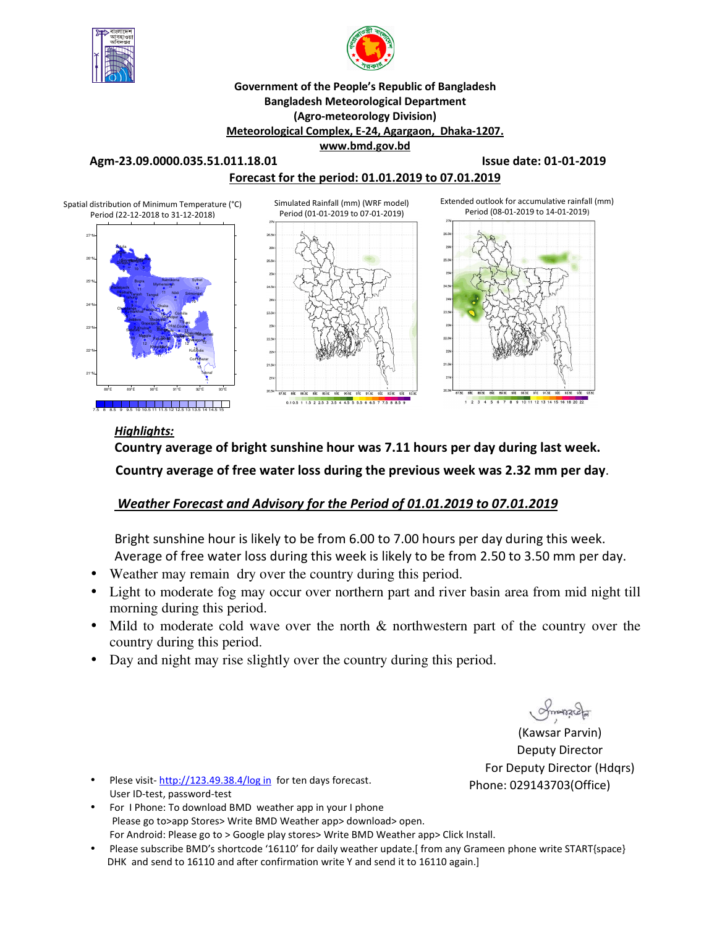



#### **Government of the People's Republic of Bangladesh Bangladesh Meteorological Department (Agro-meteorology Division) Meteorological Complex, E-24, Agargaon, Dhaka-1207. www.bmd.gov.bd**

**Agm-23.09.0000.035.51.011.18.01 Issue date: 01-01-2019** 

### **Forecast for the period: 01.01.2019 to 07.01.2019**



### *Highlights:*

**Country average of bright sunshine hour was 7.11 hours per day during last week. Country average of free water loss during the previous week was 2.32 mm per day**.

## *Weather Forecast and Advisory for the Period of 01.01.2019 to 07.01.2019*

Bright sunshine hour is likely to be from 6.00 to 7.00 hours per day during this week. Average of free water loss during this week is likely to be from 2.50 to 3.50 mm per day.

- Weather may remain dry over the country during this period.
- Light to moderate fog may occur over northern part and river basin area from mid night till morning during this period.
- Mild to moderate cold wave over the north  $\&$  northwestern part of the country over the country during this period.
- Day and night may rise slightly over the country during this period.

(Kawsar Parvin) Deputy Director For Deputy Director (Hdqrs) Phone: 029143703(Office)

- Plese visit-http://123.49.38.4/log in for ten days forecast. User ID-test, password-test
- For I Phone: To download BMD weather app in your I phone Please go to>app Stores> Write BMD Weather app> download> open. For Android: Please go to > Google play stores> Write BMD Weather app> Click Install.
- Please subscribe BMD's shortcode '16110' for daily weather update.[ from any Grameen phone write START{space} DHK and send to 16110 and after confirmation write Y and send it to 16110 again.]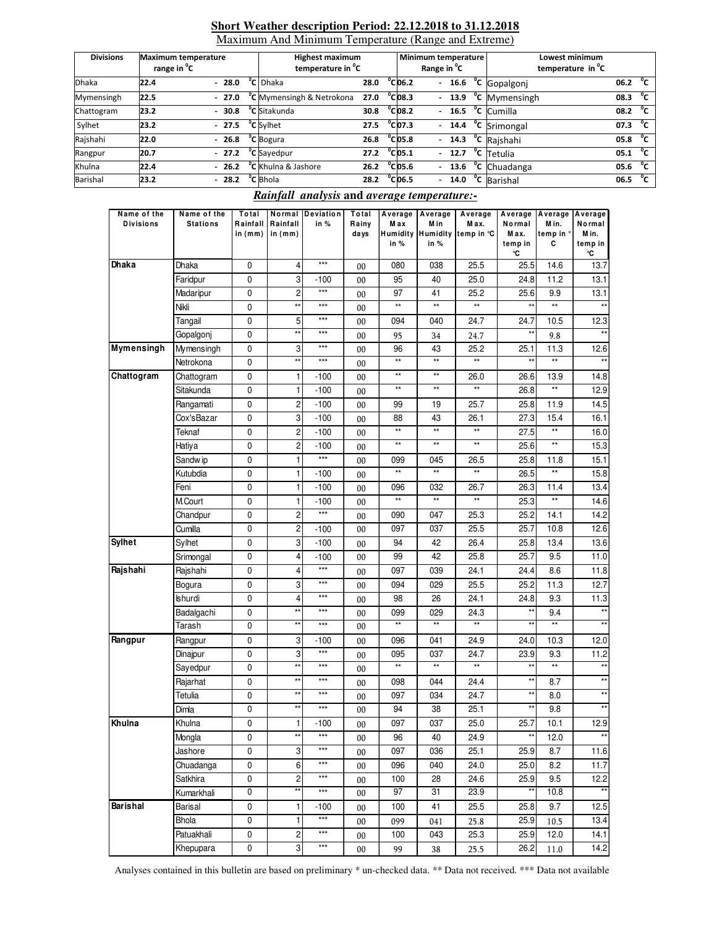#### **Short Weather description Period: 22.12.2018 to 31.12.2018** Maximum And Minimum Temperature (Range and Extreme)

| <b>Divisions</b> | <b>Maximum temperature</b><br>range in <sup>o</sup> C |  |         | <b>Highest maximum</b><br>temperature in <sup>o</sup> C |      |  |                   | Minimum temperature<br>Range in <sup>o</sup> C |  | Lowest minimum<br>temperature in <sup>o</sup> C |                     |              |
|------------------|-------------------------------------------------------|--|---------|---------------------------------------------------------|------|--|-------------------|------------------------------------------------|--|-------------------------------------------------|---------------------|--------------|
| <b>Dhaka</b>     | 22.4                                                  |  | $-28.0$ | <sup>o</sup> C Dhaka                                    | 28.0 |  | $^{\circ}$ Cl06.2 | $\overline{a}$                                 |  | 16.6 °C Gopalgonj                               | 06.2                | $^{\circ}$ c |
| Mymensingh       | 22.5                                                  |  | $-27.0$ | <sup>o</sup> C Mymensingh & Netrokona                   | 27.0 |  | $^{\circ}$ CO8.3  |                                                |  | $-$ 13.9 $^{\circ}$ C Mymensingh                | 08.3                | °c           |
| Chattogram       | 23.2                                                  |  | $-30.8$ | <sup>o</sup> C Sitakunda                                | 30.8 |  | $^{\circ}$ Cl08.2 |                                                |  | $-16.5$ °C Cumilla                              | 08.2                | °″           |
| Sylhet           | 23.2                                                  |  | $-27.5$ | <sup>o</sup> C Sylhet                                   | 27.5 |  | $^{\circ}$ CO7.3  |                                                |  | $-$ 14.4 $\degree$ C Srimongal                  | 07.3                | °€           |
| Rajshahi         | 22.0                                                  |  | $-26.8$ | <sup>o</sup> C Bogura                                   | 26.8 |  | $^{\circ}$ Cl05.8 |                                                |  | $-$ 14.3 $^{\circ}$ C Rajshahi                  | 05.8 <sup>o</sup> C |              |
| Rangpur          | 20.7                                                  |  | $-27.2$ | <sup>o</sup> C Sayedpur                                 | 27.2 |  | $^{\circ}$ CO5.1  |                                                |  | $-$ 12.7 $\degree$ C Tetulia                    | 05.1                | °″           |
| Khulna           | 22.4                                                  |  | $-26.2$ | <sup>o</sup> C Khulna & Jashore                         | 26.2 |  | $^{\circ}$ Cl05.6 |                                                |  | - 13.6 °C Chuadanga                             | 05.6                | $^{\circ}$ c |
| Barishal         | 23.2                                                  |  | $-28.2$ | <sup>o</sup> C Bhola                                    | 28.2 |  | $^{\circ}$ Cl06.5 | $\overline{\phantom{0}}$                       |  | 14.0 °C Barishal                                | 06.5                | $^{\circ}$ c |

### *Rainfall analysis* **and** *average temperature:-*

| Name of the<br>Divisions | Name of the<br><b>Stations</b> | Total<br>Rainfall<br>in (mm) | Normal<br>Rainfall<br>in $(mm)$ | Deviation<br>in % | Total<br>Rainy<br>days | Average Average<br>M a x<br>in % | M in<br>in %    | Average<br>M ax.<br>Humidity Humidity temp in °C | Normal<br>M ax.<br>temp in<br>°C | Average Average<br>Min.<br>temp in °<br>c | Average<br>Normal<br>M in.<br>temp in<br>°C |
|--------------------------|--------------------------------|------------------------------|---------------------------------|-------------------|------------------------|----------------------------------|-----------------|--------------------------------------------------|----------------------------------|-------------------------------------------|---------------------------------------------|
| Dhaka                    | Dhaka                          | 0                            | 4                               | $***$             | 00                     | 080                              | 038             | 25.5                                             | 25.5                             | 14.6                                      | 13.7                                        |
|                          | Faridpur                       | 0                            | 3                               | $-100$            | 00                     | 95                               | 40              | 25.0                                             | 24.8                             | 11.2                                      | 13.1                                        |
|                          | Madaripur                      | 0                            | 2                               | $***$             | 00                     | 97                               | 41              | 25.2                                             | 25.6                             | 9.9                                       | 13.1                                        |
|                          | Nikli                          | 0                            | **                              | $***$             | 00                     | $\star\star$                     | $\star\star$    | $\star\star$                                     | **                               | $\star\star$                              | $\star\star$                                |
|                          | Tangail                        | 0                            | 5                               | ***               | 00                     | 094                              | 040             | 24.7                                             | 24.7                             | 10.5                                      | 12.3                                        |
|                          | Gopalgonj                      | 0                            | **                              | $***$             | 00                     | 95                               | 34              | 24.7                                             | $\star\star$                     | 9.8                                       | $^{\star\star}$                             |
| Mymensingh               | Mymensingh                     | 0                            | 3                               | ***               | 00                     | 96                               | 43              | 25.2                                             | 25.1                             | 11.3                                      | 12.6                                        |
|                          | Netrokona                      | 0                            | **                              | ***               | 00                     | $\star\star$                     | $^{\star\star}$ | $\star\star$                                     | $\star\star$                     | $\star\star$                              | $\star\star$                                |
| Chattogram               | Chattogram                     | 0                            | 1                               | $-100$            | 00                     | $\star\star$                     | $\star\star$    | 26.0                                             | 26.6                             | 13.9                                      | 14.8                                        |
|                          | Sitakunda                      | 0                            | 1                               | $-100$            | 00                     | $\star\star$                     | $^{\star\star}$ | $^{\star\star}$                                  | 26.8                             | $\star\star$                              | 12.9                                        |
|                          | Rangamati                      | 0                            | 2                               | $-100$            | 00                     | 99                               | 19              | 25.7                                             | 25.8                             | 11.9                                      | 14.5                                        |
|                          | Cox'sBazar                     | 0                            | 3                               | $-100$            | 00                     | 88                               | 43              | 26.1                                             | 27.3                             | 15.4                                      | 16.1                                        |
|                          | Teknaf                         | 0                            | 2                               | $-100$            | 00                     | $\star\star$                     | $\star\star$    | $\star\star$                                     | 27.5                             | $\star\star$                              | 16.0                                        |
|                          | Hatiya                         | 0                            | 2                               | $-100$            | 00                     | $\star\star$                     | $\star\star$    | $\star\star$                                     | 25.6                             | $\star\star$                              | 15.3                                        |
|                          | Sandw ip                       | 0                            | 1                               | $***$             | 00                     | 099                              | 045             | 26.5                                             | 25.8                             | 11.8                                      | 15.1                                        |
|                          | Kutubdia                       | 0                            | 1                               | $-100$            | 00                     | $\star\star$                     | $\star\star$    | **                                               | 26.5                             | **                                        | 15.8                                        |
|                          | Feni                           | 0                            | 1                               | $-100$            | 00                     | 096                              | 032             | 26.7                                             | 26.3                             | 11.4                                      | 13.4                                        |
|                          | M.Court                        | 0                            | 1                               | $-100$            | 00                     | $\star\star$                     | $^{\star\star}$ | $\star\star$                                     | 25.3                             | $\star\star$                              | 14.6                                        |
|                          | Chandpur                       | 0                            | 2                               | ***               | 00                     | 090                              | 047             | 25.3                                             | 25.2                             | 14.1                                      | 14.2                                        |
|                          | Cumilla                        | 0                            | $\overline{\mathbf{c}}$         | $-100$            | 00                     | 097                              | 037             | 25.5                                             | 25.7                             | 10.8                                      | 12.6                                        |
| <b>Sylhet</b>            | Sylhet                         | 0                            | 3                               | $-100$            | 00                     | 94                               | 42              | 26.4                                             | 25.8                             | 13.4                                      | 13.6                                        |
|                          | Srimongal                      | 0                            | 4                               | $-100$            | 00                     | 99                               | 42              | 25.8                                             | 25.7                             | 9.5                                       | 11.0                                        |
| Rajshahi                 | Rajshahi                       | 0                            | 4                               | ***               | 00                     | 097                              | 039             | 24.1                                             | 24.4                             | 8.6                                       | 11.8                                        |
|                          | Bogura                         | 0                            | 3                               | $***$             | 00                     | 094                              | 029             | 25.5                                             | 25.2                             | 11.3                                      | 12.7                                        |
|                          | Ishurdi                        | 0                            | 4                               | ***               | 00                     | 98                               | 26              | 24.1                                             | 24.8                             | 9.3                                       | 11.3                                        |
|                          | Badalgachi                     | 0                            | **                              | $***$             | 00                     | 099                              | 029             | 24.3                                             | **                               | 9.4                                       | $^{\star\star}$                             |
|                          | Tarash                         | 0                            | **                              | $***$             | 00                     | $\star\star$                     | $**$            | $**$                                             | $\star\star$                     | $***$                                     |                                             |
| Rangpur                  | Rangpur                        | 0                            | 3                               | $-100$            | 00                     | 096                              | 041             | 24.9                                             | 24.0                             | 10.3                                      | 12.0                                        |
|                          | Dinajpur                       | 0                            | 3                               | $***$             | 00                     | 095                              | 037             | 24.7                                             | 23.9                             | 9.3                                       | 11.2                                        |
|                          | Sayedpur                       | 0                            | $\star\star$                    | $***$             | 00                     | $\star\star$                     | $\star\star$    | $^{\star\star}$                                  | $\star\star$                     | $^{\star\star}$                           | $^{\star\star}$                             |
|                          | Rajarhat                       | 0                            | $\star\star$                    | ***               | 00                     | 098                              | 044             | 24.4                                             | $\star\star$                     | 8.7                                       | $^{\star\star}$                             |
|                          | Tetulia                        | 0                            | $\star\star$                    | ***               | 00                     | 097                              | 034             | 24.7                                             | $\star\star$                     | 8.0                                       | $\star\star$                                |
|                          | Dimla                          | $\pmb{0}$                    | $\star\star$                    | ***               | 00                     | 94                               | 38              | 25.1                                             | $\star\star$                     | 9.8                                       | $***$                                       |
| Khulna                   | Khulna                         | 0                            | 1                               | $-100$            | 00                     | 097                              | 037             | 25.0                                             | 25.7                             | 10.1                                      | 12.9                                        |
|                          | Mongla                         | 0                            | $^{\star\star}$                 | $***$             | 00                     | 96                               | 40              | 24.9                                             | $\star\star$                     | 12.0                                      | $^{\star\star}$                             |
|                          | Jashore                        | $\pmb{0}$                    | 3                               | ***               | 00                     | 097                              | 036             | 25.1                                             | 25.9                             | 8.7                                       | 11.6                                        |
|                          | Chuadanga                      | $\pmb{0}$                    | 6                               | ***               | 00                     | 096                              | 040             | 24.0                                             | 25.0                             | 8.2                                       | 11.7                                        |
|                          | Satkhira                       | $\pmb{0}$                    | $\overline{\mathbf{c}}$         | ***               | 00                     | 100                              | 28              | 24.6                                             | 25.9                             | 9.5                                       | 12.2                                        |
|                          | Kumarkhali                     | $\pmb{0}$                    | $\star\star$                    | ***               | 00                     | 97                               | 31              | 23.9                                             | $^{\star\star}$                  | 10.8                                      | $\star\star$                                |
| Barishal                 | Barisal                        | $\pmb{0}$                    | 1                               | $-100$            | 00                     | 100                              | 41              | 25.5                                             | 25.8                             | 9.7                                       | 12.5                                        |
|                          | Bhola                          | $\pmb{0}$                    | 1                               | $***$             | 00                     | 099                              | 041             | 25.8                                             | 25.9                             | 10.5                                      | 13.4                                        |
|                          | Patuakhali                     | $\pmb{0}$                    | 2                               | $***$             | 00                     | 100                              | 043             | 25.3                                             | 25.9                             | 12.0                                      | 14.1                                        |
|                          | Khepupara                      | $\pmb{0}$                    | 3                               | $***$             | $00\,$                 | 99                               | 38              | 25.5                                             | 26.2                             | 11.0                                      | 14.2                                        |

Analyses contained in this bulletin are based on preliminary \* un-checked data. \*\* Data not received. \*\*\* Data not available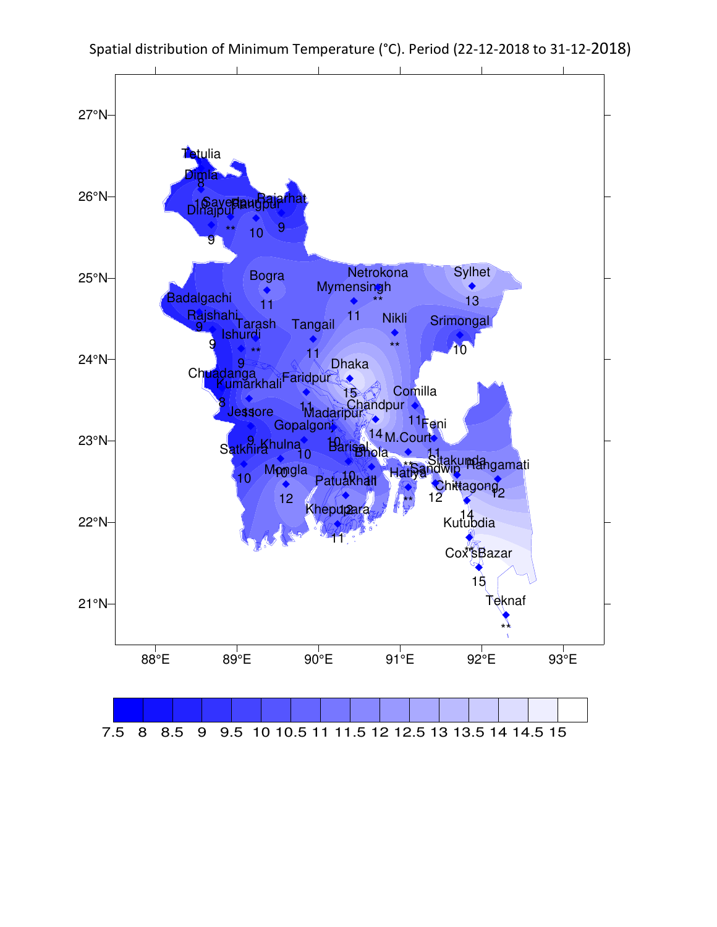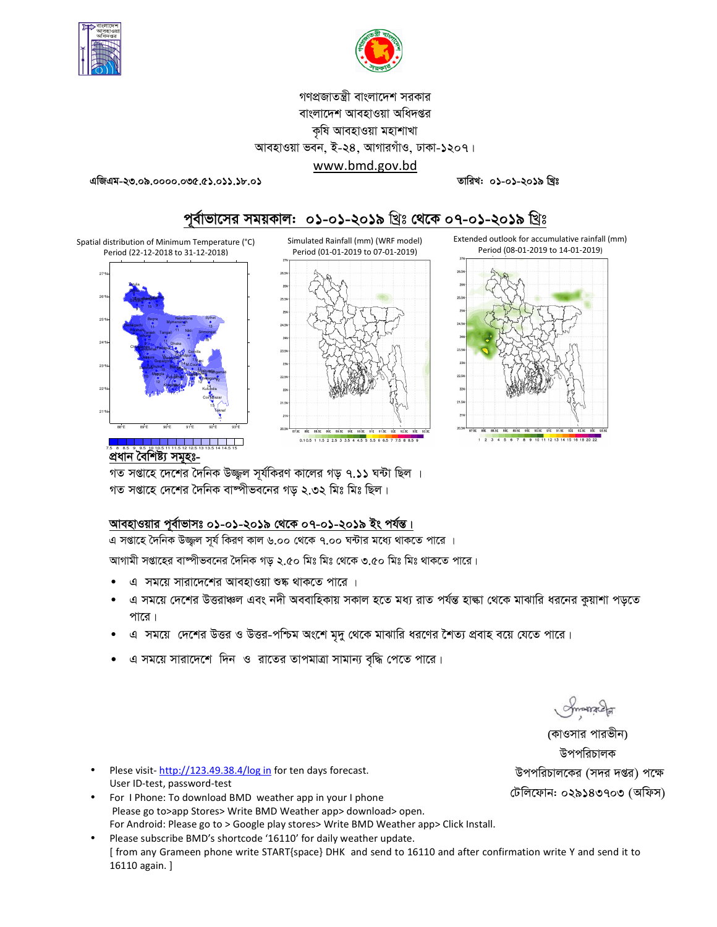

![](_page_3_Picture_1.jpeg)

## গণপ্রজাতন্ত্রী বাংলাদেশ সরকার বাংলাদেশ আবহাওয়া অধিদপ্তর কৃষি আবহাওয়া মহাশাখা আবহাওয়া ভবন, ই-২৪, আগারগাঁও, ঢাকা-১২০৭।

### www.bmd.gov.bd

তারিখ: ০১-০১-২০১৯ খ্রিঃ

এজিএম-২৩.০৯.০০০০.০৩৫.৫১.০১১.১৮.০১

![](_page_3_Figure_6.jpeg)

# পূর্বাভাসের সময়কাল: ০১-০১-২০১৯ খ্রিঃ থেকে ০৭-০১-২০১৯ খ্রিঃ

Spatial distribution of Minimum Temperature (°C) Period (22-12-2018 to 31-12-2018)

![](_page_3_Figure_9.jpeg)

<u> I de de la la la la la la jar</u> প্ৰধান বৈশিষ্ট্য সমূহঃ-

গত সপ্তাহে দেশের দৈনিক উজ্জল সর্যকিরণ কালের গড় ৭.১১ ঘন্টা ছিল । গত সপ্তাহে দেশের দৈনিক বাষ্পীভবনের গড় ২.৩২ মিঃ মিঃ ছিল।

### আবহাওয়ার পূর্বাভাসঃ ০১-০১-২০১৯ থেকে ০৭-০১-২০১৯ ইং পর্যন্ত।

এ সপ্তাহে দৈনিক উজ্জল সূর্য কিরণ কাল ৬.০০ থেকে ৭.০০ ঘন্টার মধ্যে থাকতে পারে ।

 $25.5$ 

23.5

আগামী সপ্তাহের বাম্পীভবনের দৈনিক গড় ২.৫০ মিঃ মিঃ থেকে ৩.৫০ মিঃ মিঃ থাকতে পারে।

- এ সময়ে সারাদেশের আবহাওয়া শুষ্ক থাকতে পারে ।
- এ সময়ে দেশের উত্তরাঞ্চল এবং নদী অববাহিকায় সকাল হতে মধ্য রাত পর্যন্ত হাল্কা থেকে মাঝারি ধরনের কুয়াশা পড়তে পারে।
- এ সময়ে দেশের উত্তর ও উত্তর-পশ্চিম অংশে মৃদু থেকে মাঝারি ধরণের শৈত্য প্রবাহ বয়ে যেতে পারে।
- এ সময়ে সারাদেশে দিন ও রাতের তাপমাত্রা সামান্য বৃদ্ধি পেতে পারে।

Impressed

(কাওসার পারভীন) উপপরিচালক উপপরিচালকের (সদর দপ্তর) পক্ষে টেলিফোন: ০২৯১৪৩৭০৩ (অফিস)

- Plese visit-http://123.49.38.4/log in for ten days forecast. User ID-test, password-test
- For I Phone: To download BMD weather app in your I phone Please go to>app Stores> Write BMD Weather app> download> open. For Android: Please go to > Google play stores> Write BMD Weather app> Click Install.
- Please subscribe BMD's shortcode '16110' for daily weather update. [from any Grameen phone write START{space} DHK and send to 16110 and after confirmation write Y and send it to 16110 again. ]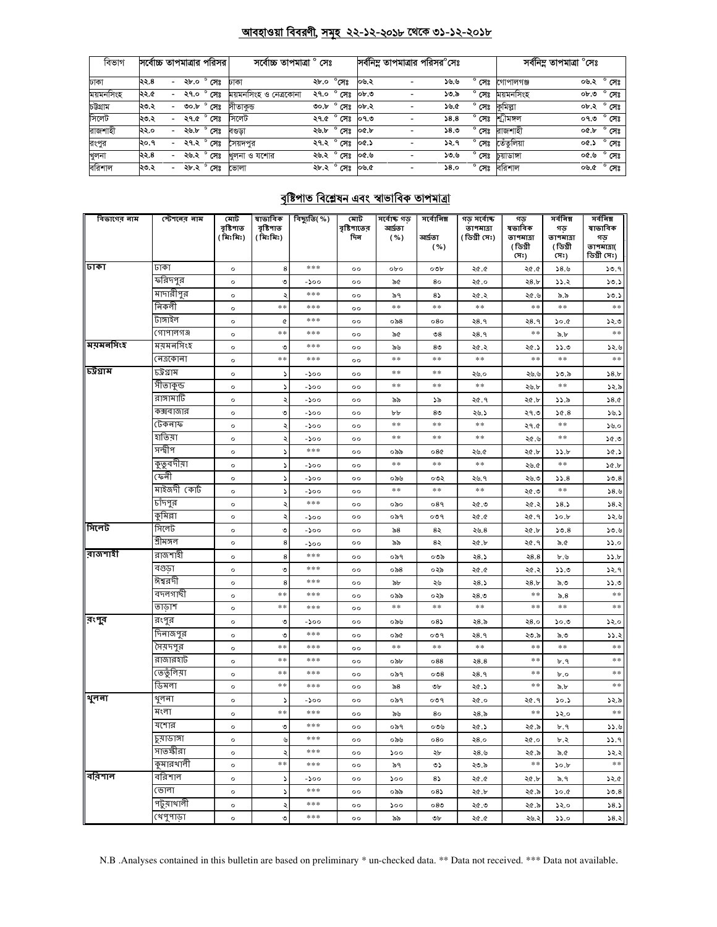#### <u> আবহাওয়া বিবরণী, সমূহ ২২-১২-২০১৮ থেকে ৩১-১২-২০১৮</u>

| বিভাগ     | সর্বোচ্চ তাপমাত্রার পরিসর |                          |                     | সৰ্বোচ্চ তাপমাত্ৰা ° সেঃ    |      |                          |          | সর্বনিম্ন তাপমাত্রার পরিসর <sup>০</sup> সেঃ |      |                |            | সর্বনিম্ন তাপমাত্রা °সেঃ |                |
|-----------|---------------------------|--------------------------|---------------------|-----------------------------|------|--------------------------|----------|---------------------------------------------|------|----------------|------------|--------------------------|----------------|
| ঢাকা      | ২২.৪                      | $\sim$                   | ২৮.০ ° সেঃ          | ঢাকা                        | ২৮.০ | $^{\circ}$ সেঃ           | ০৬.২     | $\overline{\phantom{a}}$                    | ৬.৬  | $^{\circ}$ সেঃ | গোপালগঞ্জ  | ০৬.২ ° সেঃ               |                |
| ময়মনসিংহ | ২২.৫                      | $\sim$                   | ২৭.০ $^{\circ}$ সেঃ | ময়মনসিংহ ও নেত্ৰকোনা       |      | ২৭.০ ° সেঃ               | $ob$ . O |                                             | ১৩.৯ | $^{\circ}$ সেঃ | ময়মনসিংহ  | ০৮.৩                     | $^{\circ}$ সেঃ |
| চউগ্ৰাম   | ২৩.২                      | $\overline{\phantom{a}}$ | ৩০.৮ ° সেঃ          | সীতাকড                      |      | ৩০.৮ <sup>০</sup> সেঃ    | ০৮.২     |                                             | ১৬.৫ | $^{\circ}$ সেঃ | কুমিল্লা   | ০৮.২ ° সেঃ               |                |
| সিলেট     | ২৩.২                      | $\overline{\phantom{0}}$ | ২৭.৫ ° সেঃ          | সিলেট                       |      | ২৭.৫ $^{\circ}$ সেঃ ০৭.৩ |          |                                             | 38.8 | $^{\circ}$ সেঃ | শ্ৰীমঙ্গল  | ০৭.৩                     | ° সেঃ          |
| রাজশাহী   | ২২.০                      | $\sim$                   | ২৬.৮ ° সেঃ          | বণ্ডডা                      |      | ২৬.৮ ° সেঃ               | o&b      |                                             | 58.0 | $^{\circ}$ সেঃ | রাজশাহী    | ০৫.৮ ° সেঃ               |                |
| রংপুর     | ২০.৭                      |                          |                     | ২৭.২ ° <b>সেঃ </b> সৈয়দপুর |      | ২৭.২ ° সেঃ               | ০৫.১     |                                             | ১২.৭ | $^{\circ}$ সেঃ | তেঁতলিয়া  | oc.S                     | $^{\circ}$ সেঃ |
| খুলনা     | ২২.৪                      | $\overline{\phantom{0}}$ | ২৬.২ ° সেঃ          | খলনা ও যশোর                 |      | ২৬.২ ° সেঃ               | ৩.৩০     | $\overline{a}$                              | ১৩.৬ | $^{\circ}$ সেঃ | চয়াডাঙ্গা | ৩.৩০                     | ಿ ೧೯೫          |
| বরিশাল    | ২৩.২                      | $\overline{\phantom{0}}$ | ২৮.২ ° সেঃ          | ভোলা                        |      | ২৮.২ ° সেঃ ০৬.৫          |          |                                             | 58.0 | $^{\circ}$ সেঃ | বরিশাল     | ০৬.৫ ° সেঃ               |                |

## বৃষ্টিপাত বিশ্লেষন এবং স্বাভাবিক তাপমাত্রা

| বিভাগের নাম       | স্টেশনের নাম | মোট<br>বৃষ্টিপাত | ষাভাবিক<br>বৃষ্টিপাত | <u>ৰিছ্যুতি(%)</u> | মোট<br>বৃষ্টিপাতের | সৰ্বোচ্চ গড়<br>আৰ্দ্ৰতা | সর্বোনিম্ন     | গড় সৰ্বোচ্চ<br>তাপমাত্রা | গড<br>ষভাবিক    | সৰ্বনিম্ন<br>গড | সৰ্বনিম্ন<br>ষাভাবিক      |
|-------------------|--------------|------------------|----------------------|--------------------|--------------------|--------------------------|----------------|---------------------------|-----------------|-----------------|---------------------------|
|                   |              | (মিঃমিঃ)         | (মিঃমিঃ)             |                    | দিন                | ( %)                     | আৰ্দতা         | (ডিগ্ৰী সেঃ)              | তাপমাত্রা       | তাপমাত্রা       | গড়                       |
|                   |              |                  |                      |                    |                    |                          | ( %)           |                           | (ডিগ্ৰী<br>(সঃ) | (ডিগ্ৰী<br>(সঃ) | তাপমাত্রা(<br>ডিগ্ৰী সেঃ) |
| ঢাকা              | ঢাকা         | $\circ$          | 8                    | ***                | $^{\circ}$         | opo                      | ০৩৮            | ২৫.৫                      | ২৫.৫            | 38.6            | ১৩.৭                      |
|                   | ফরিদপুর      | $\circ$          | ৩                    | -200               | $^{\circ}$         | ৯৫                       | 80             | ২৫.০                      | ২8.৮            | 33.2            | 50.5                      |
|                   | মাদারীপুর    | $\circ$          |                      | ***                | $^{\circ}$         | ৯৭                       | 85             | ২৫.২                      | ২৫.৬            | ৯.৯             | ১৩.১                      |
|                   | নিকলী        | $\circ$          | **                   | ***                | $^{\circ}$         | $**$                     | $\ast$ $\ast$  | **                        | $\ast$ $\ast$   | $\ast$ $\ast$   | $\ast$ $\ast$             |
|                   | টাঙ্গাইল     | $\circ$          | ¢                    | ***                | $^{\circ}$         | ০৯৪                      | 080            | ২8.৭                      | ২8.৭            | ১০.৫            | ১২.৩                      |
|                   | গোপালগঞ্জ    | $\circ$          | **                   | ***                | $^{\circ}$         | ৯৫                       | $\mathcal{S}8$ | २8.१                      | $*\ast$         | ৯.৮             | $\ast$                    |
| ময়মনসিংহ         | ময়মনসিংহ    | $\circ$          | ৩                    | ***                | $^{\circ}$         | ৯৬                       | 8 <sub>0</sub> | ২৫.২                      | ২৫.১            | 33.0            | ১২.৬                      |
|                   | নেত্ৰকোনা    | $\circ$          | **                   | ***                | $^{\circ}$         | $\ast$                   | $**$           | $*\ast$                   | $*\ast$         | **              | $\ast$                    |
| চট্টগ্ৰাম         | ঢট্রগ্রাম    | $\circ$          |                      | -১০০               | $^{\circ}$         | $* *$                    | $\ast$ $\ast$  | ২৬.০                      | ২৬.৬            | ১৩.৯            | 58.5                      |
|                   | সীতাকুন্ড    | $\circ$          | 'N                   | -200               | $^{\circ}$         | **                       | $\ast$ $\ast$  | $\ast$ $\ast$             | ২৬.৮            | **              | ১২.৯                      |
|                   | রাঙ্গামাটি   | $\circ$          |                      | -200               | $^{\circ}$         | ৯৯                       | ১৯             | ২৫.৭                      | ২৫.৮            | 33.5            | 38.0                      |
|                   | কক্সবাজার    | $\circ$          | ৩                    | -200               | $^{\circ}$         | ৮৮                       | 8 <sub>0</sub> | ২৬.১                      | ২৭.৩            | 36.8            | ১৬.১                      |
|                   | টেকনাফ       | $\circ$          | د                    | -200               | $^{\circ}$         | **                       | $* *$          | $*\ast$                   | ২৭.৫            | **              | ১৬.০                      |
|                   | য়তিয়া      | $\circ$          |                      | -200               | $^{\circ}$         | $\ast$ $\ast$            | $\ast$ $\ast$  | $\ast$ $\ast$             | ২৫.৬            | **              | ১৫.৩                      |
|                   | সন্দ্বীপ     | $\circ$          | S                    | ***                | $^{\circ}$         | ০৯৯                      | 08¢            | ২৬.৫                      | ২৫.৮            | 55.5            | 30.5                      |
|                   | কুতুবদীয়া   | $\circ$          | د                    | -200               | $^{\circ}$         | $* *$                    | $\ast$ $\ast$  | $\ast$ $\ast$             | ২৬.৫            | **              | ১৫.৮                      |
|                   | কেনী         | $\circ$          | 'N                   | -200               | $^{\circ}$         | ০৯৬                      | ০৩২            | ২৬.৭                      | ২৬.৩            | 33.8            | 50.8                      |
|                   | মাইজদী কোট   | $\circ$          |                      | -১০০               | $\circ$            | $\ast$ $\ast$            | $\ast$ $\ast$  | $\ast$ $\ast$             | ৩. ১২           | $* *$           | 38.5                      |
|                   | চাঁদপুর      | $\circ$          | د                    | $***$              | $^{\circ}$         | ০৯০                      | ०४१            | ২৫.৩                      | ২৫.২            | 38.5            | 58.3                      |
|                   | কুমিল্লা     | $\circ$          | ۰                    | -200               | $^{\circ}$         | ০৯৭                      | ०७१            | ২৫.৫                      | ২৫.৭            | 30.5            | ১২.৬                      |
| সিলেট             | সিলেট        | $\circ$          | ৩                    | -200               | $^{\circ}$         | ৯৪                       | 8२             | ২৬.৪                      | ২৫.৮            | 50.8            | ১৩.৬                      |
|                   | শ্ৰীমঙ্গল    | $\circ$          | 8                    | -200               | $^{\circ}$         | ৯৯                       | 82             | ২৫.৮                      | ২৫.৭            | ৯.৫             | 55.0                      |
| রাজশাহী           | রাজশাহী      | $\circ$          | 8                    | ***                | $^{\circ}$         | ০৯৭                      | ০৩৯            | ২৪.১                      | 28.8            | ৮.৬             | 55.5                      |
|                   | বগুডা        | $\circ$          | ৩                    | ***                | $^{\circ}$         | ০৯৪                      | ০২৯            | ২৫.৫                      | ২৫.২            | 33.0            | ১২.৭                      |
|                   | ঈশ্বরদী      | $\circ$          | 8                    | ***                | $^{\circ}$         | ৯৮                       | ২৬             | ২8.১                      | ২৪.৮            | ৯.৩             | ১১.৩                      |
|                   | বদলগাছী      | $\circ$          | **                   | ***                | $^{\circ}$         | ০৯৯                      | ০২৯            | ২৪.৩                      | $\ast$ $\ast$   | ৯. $8$          | $\ast$                    |
|                   | তাডাশ        | $\circ$          | **                   | ***                | $^{\circ}$         | **                       | $* *$          | $*\ast$                   | $*\ast$         | **              | $\ast$                    |
| রংপুর             | রংপুর        | $\circ$          | ৩                    | -200               | $^{\circ}$         | ০৯৬                      | $08\lambda$    | ২৪.৯                      | २8.०            | 0.06            | ১২.০                      |
|                   | দিনাজপুর     | $\circ$          | ৩                    | ***                | $^{\circ}$         | ০৯৫                      | ०७१            | ২8.৭                      | ২৩.৯            | ৯.৩             | 33.3                      |
|                   | সৈয়দপুর     | $\circ$          | **                   | ***                | $^{\circ}$         | $**$                     | $\ast$ $\ast$  | $*\ast$                   | $\ast\ast$      | **              | $\ast$ $\ast$             |
|                   | রাজারহাট     | $\circ$          | **                   | ***                | $^{\circ}$         | ০৯৮                      | 088            | 28.8                      | **              | ৮.৭             | $\ast$                    |
|                   | ভেতুলিয়া    | $\circ$          | $**$                 | ***                | $^{\circ}$         | ০৯৭                      | 008            | ২8.৭                      | $\ast$          | ৮.০             | $\ast$                    |
|                   | ডিমলা        | $\circ$          | $\ast$ $\ast$        | ***                | $^{\circ}$         | ৯৪                       | ৩৮             | ২৫.১                      | $*\ast$         | $\delta b$      | $\pm$ $\pm$               |
| शूनना             | থুলনা        | $\circ$          |                      | -১০০               | $^{\circ}$         | ০৯৭                      | ०७१            | ২৫.০                      | ২৫.৭            | 30.5            | ১২.৯                      |
|                   | মংলা         | $\circ$          | **                   | ***                | $^{\circ}$         | ৯৬                       | 80             | ২৪.৯                      | $* *$           | ১২.০            | $\ast$                    |
|                   | যশোর         | $\circ$          | ৩                    | ***                | $\circ$            | ০৯৭                      | ০৩৬            | ২৫.১                      | ২৫.৯            | ৮.৭             | 33.6                      |
|                   | रूसालाओ      | $\circ$          | ৬                    | ***                | $^{\circ}$         | ০৯৬                      | 080            | ২8.०                      | ২৫.০            | ৮.২             | 33.9                      |
|                   | সাতক্ষীরা    | $\circ$          |                      | ***                | $^{\circ}$         | ১০০                      | ২৮             | ২৪.৬                      | ২৫.৯            | ৯.৫             | ১২.২                      |
|                   | কুমারথালী    | $\circ$          | $*\ast$              | ***                | $^{\circ}$         | ৯৭                       | ৩১             | ২৩.৯                      | $* *$           | ১০.৮            | $*\ast$                   |
| $\sqrt{q}$ বরিশাল | বরিশাল       | $\circ$          | 2                    | -200               | $^{\circ}$         | ১০০                      | 85             | ২৫.৫                      | ২৫.৮            | ৯.৭             | ১২.৫                      |
|                   | ভোলা         | $\circ$          | د                    | ***                | $^{\circ}$         | ০৯৯                      | 085            | ২৫.৮                      | ২৫.৯            | 30.0            | 50.8                      |
|                   | পটুয়াথালী   | $\circ$          | ২                    | ***                | $^{\circ}$         | ১০০                      | ০৪৩            | ২৫.৩                      | ২৫.৯            | ১২.০            | 58.5                      |
|                   | খেপুপাড়া    | $\circ$          | ৩                    | ***                | $^{\circ}$         | ৯৯                       | ৩৮             | ২৫.৫                      | ২৬.২            | 55.0            | 38.3                      |

N.B .Analyses contained in this bulletin are based on preliminary \* un-checked data. \*\* Data not received. \*\*\* Data not available.